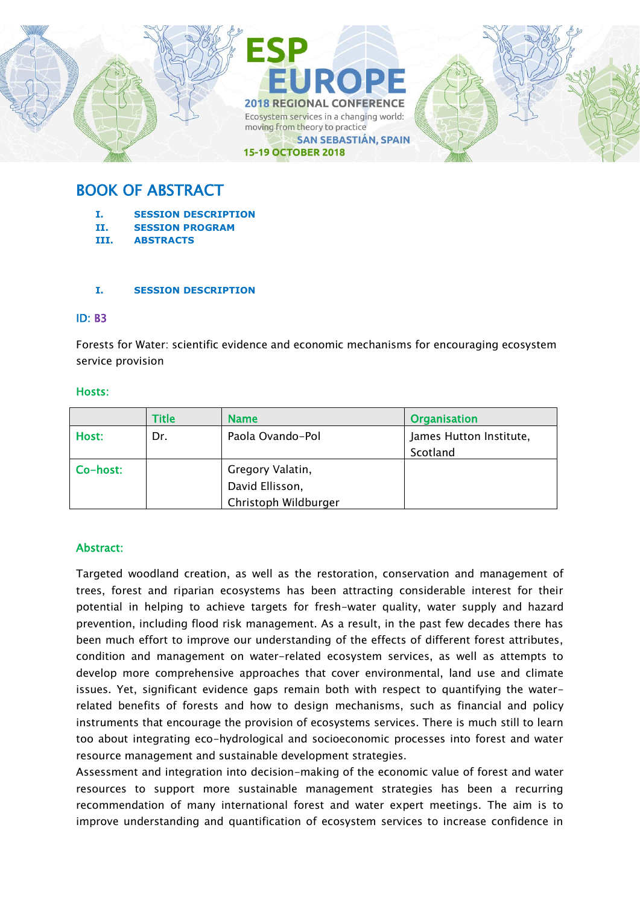

# BOOK OF ABSTRACT

- **I. SESSION DESCRIPTION**
- **II. SESSION PROGRAM**
- **III. ABSTRACTS**

#### **I. SESSION DESCRIPTION**

#### ID: B3

Forests for Water: scientific evidence and economic mechanisms for encouraging ecosystem service provision

#### Hosts:

|          | <b>Title</b> | <b>Name</b>          | <b>Organisation</b>     |
|----------|--------------|----------------------|-------------------------|
| Host:    | Dr.          | Paola Ovando-Pol     | James Hutton Institute, |
|          |              |                      | Scotland                |
| Co-host: |              | Gregory Valatin,     |                         |
|          |              | David Ellisson,      |                         |
|          |              | Christoph Wildburger |                         |

## Abstract:

Targeted woodland creation, as well as the restoration, conservation and management of trees, forest and riparian ecosystems has been attracting considerable interest for their potential in helping to achieve targets for fresh-water quality, water supply and hazard prevention, including flood risk management. As a result, in the past few decades there has been much effort to improve our understanding of the effects of different forest attributes, condition and management on water-related ecosystem services, as well as attempts to develop more comprehensive approaches that cover environmental, land use and climate issues. Yet, significant evidence gaps remain both with respect to quantifying the waterrelated benefits of forests and how to design mechanisms, such as financial and policy instruments that encourage the provision of ecosystems services. There is much still to learn too about integrating eco-hydrological and socioeconomic processes into forest and water resource management and sustainable development strategies.

Assessment and integration into decision-making of the economic value of forest and water resources to support more sustainable management strategies has been a recurring recommendation of many international forest and water expert meetings. The aim is to improve understanding and quantification of ecosystem services to increase confidence in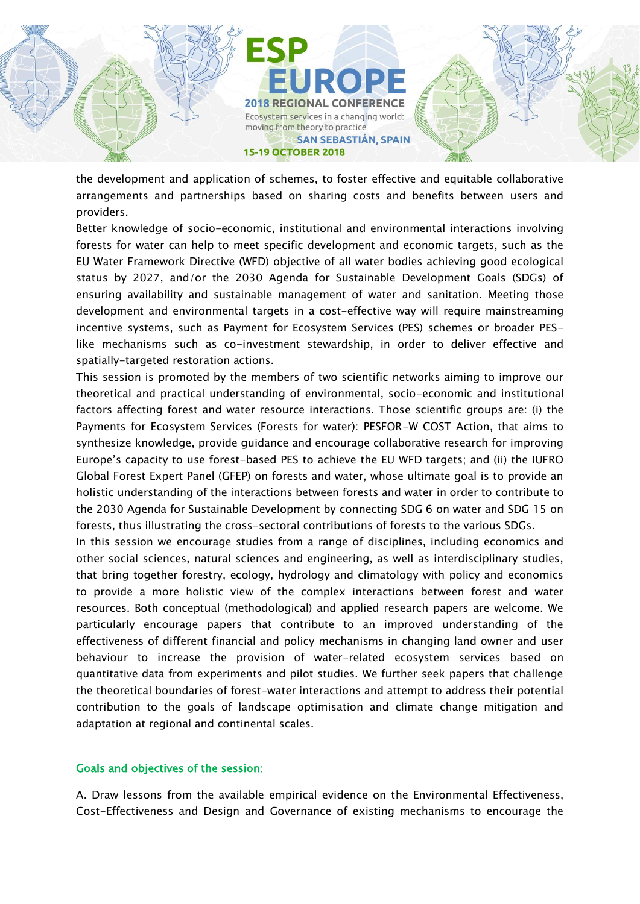

the development and application of schemes, to foster effective and equitable collaborative arrangements and partnerships based on sharing costs and benefits between users and providers.

Better knowledge of socio-economic, institutional and environmental interactions involving forests for water can help to meet specific development and economic targets, such as the EU Water Framework Directive (WFD) objective of all water bodies achieving good ecological status by 2027, and/or the 2030 Agenda for Sustainable Development Goals (SDGs) of ensuring availability and sustainable management of water and sanitation. Meeting those development and environmental targets in a cost-effective way will require mainstreaming incentive systems, such as Payment for Ecosystem Services (PES) schemes or broader PESlike mechanisms such as co-investment stewardship, in order to deliver effective and spatially-targeted restoration actions.

This session is promoted by the members of two scientific networks aiming to improve our theoretical and practical understanding of environmental, socio-economic and institutional factors affecting forest and water resource interactions. Those scientific groups are: (i) the Payments for Ecosystem Services (Forests for water): PESFOR-W COST Action, that aims to synthesize knowledge, provide guidance and encourage collaborative research for improving Europe's capacity to use forest-based PES to achieve the EU WFD targets; and (ii) the IUFRO Global Forest Expert Panel (GFEP) on forests and water, whose ultimate goal is to provide an holistic understanding of the interactions between forests and water in order to contribute to the 2030 Agenda for Sustainable Development by connecting SDG 6 on water and SDG 15 on forests, thus illustrating the cross-sectoral contributions of forests to the various SDGs.

In this session we encourage studies from a range of disciplines, including economics and other social sciences, natural sciences and engineering, as well as interdisciplinary studies, that bring together forestry, ecology, hydrology and climatology with policy and economics to provide a more holistic view of the complex interactions between forest and water resources. Both conceptual (methodological) and applied research papers are welcome. We particularly encourage papers that contribute to an improved understanding of the effectiveness of different financial and policy mechanisms in changing land owner and user behaviour to increase the provision of water-related ecosystem services based on quantitative data from experiments and pilot studies. We further seek papers that challenge the theoretical boundaries of forest-water interactions and attempt to address their potential contribution to the goals of landscape optimisation and climate change mitigation and adaptation at regional and continental scales.

#### Goals and objectives of the session:

A. Draw lessons from the available empirical evidence on the Environmental Effectiveness, Cost-Effectiveness and Design and Governance of existing mechanisms to encourage the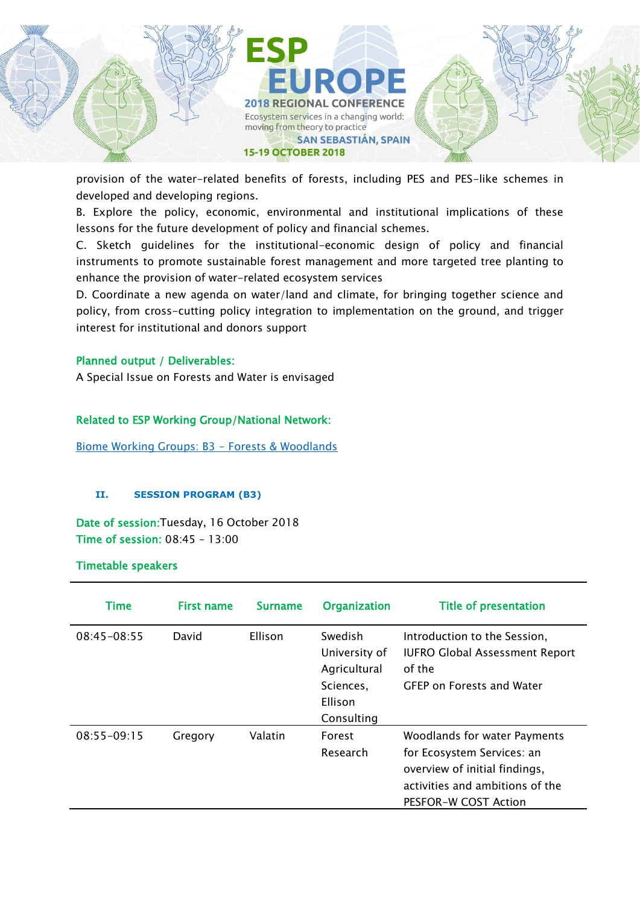

provision of the water-related benefits of forests, including PES and PES-like schemes in developed and developing regions.

B. Explore the policy, economic, environmental and institutional implications of these lessons for the future development of policy and financial schemes.

C. Sketch guidelines for the institutional-economic design of policy and financial instruments to promote sustainable forest management and more targeted tree planting to enhance the provision of water-related ecosystem services

D. Coordinate a new agenda on water/land and climate, for bringing together science and policy, from cross-cutting policy integration to implementation on the ground, and trigger interest for institutional and donors support

## Planned output / Deliverables:

A Special Issue on Forests and Water is envisaged

## Related to ESP Working Group/National Network:

[Biome Working Groups: B3 -](https://www.es-partnership.org/community/workings-groups/biome-working-groups/bwg-3-forests-woodlands/) Forests & Woodlands

#### **II. SESSION PROGRAM (B3)**

Date of session:Tuesday, 16 October 2018 Time of session: 08:45 – 13:00

Timetable speakers

| Time            | <b>First name</b> | <b>Surname</b> | <b>Organization</b>                                                            | <b>Title of presentation</b>                                                                                                                           |
|-----------------|-------------------|----------------|--------------------------------------------------------------------------------|--------------------------------------------------------------------------------------------------------------------------------------------------------|
| 08:45-08:55     | David             | Ellison        | Swedish<br>University of<br>Agricultural<br>Sciences,<br>Ellison<br>Consulting | Introduction to the Session,<br><b>IUFRO Global Assessment Report</b><br>of the<br><b>GFEP on Forests and Water</b>                                    |
| $08:55 - 09:15$ | Gregory           | Valatin        | Forest<br>Research                                                             | Woodlands for water Payments<br>for Ecosystem Services: an<br>overview of initial findings,<br>activities and ambitions of the<br>PESFOR-W COST Action |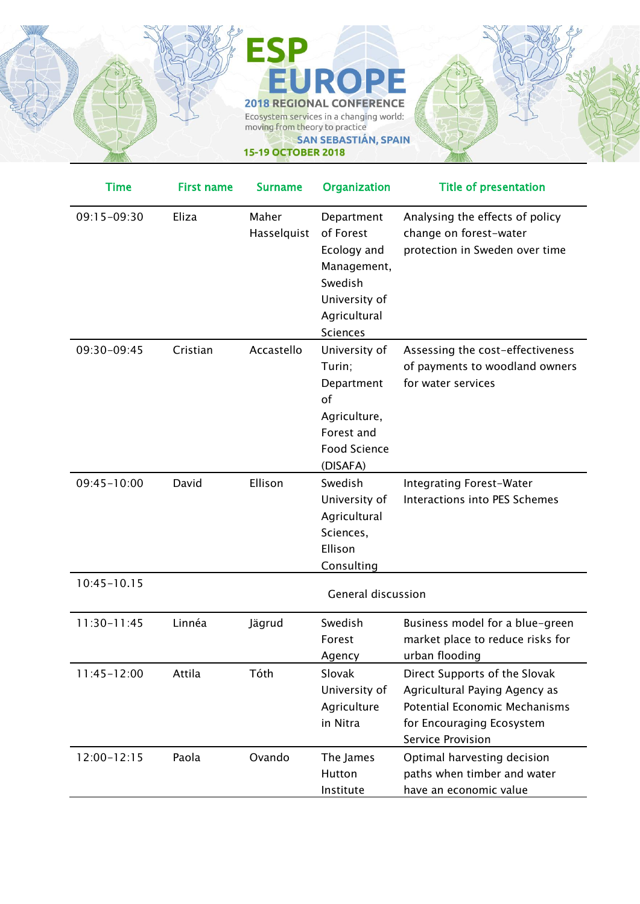

**15-19 OCTOBER 2018** 

| <b>Time</b>     | First name | <b>Surname</b>       | <b>Organization</b>                                                                                                  | <b>Title of presentation</b>                                                                                                                                    |
|-----------------|------------|----------------------|----------------------------------------------------------------------------------------------------------------------|-----------------------------------------------------------------------------------------------------------------------------------------------------------------|
| 09:15-09:30     | Eliza      | Maher<br>Hasselquist | Department<br>of Forest<br>Ecology and<br>Management,<br>Swedish<br>University of<br>Agricultural<br><b>Sciences</b> | Analysing the effects of policy<br>change on forest-water<br>protection in Sweden over time                                                                     |
| 09:30-09:45     | Cristian   | Accastello           | University of<br>Turin;<br>Department<br>of<br>Agriculture,<br>Forest and<br><b>Food Science</b><br>(DISAFA)         | Assessing the cost-effectiveness<br>of payments to woodland owners<br>for water services                                                                        |
| 09:45-10:00     | David      | Ellison              | Swedish<br>University of<br>Agricultural<br>Sciences,<br>Ellison<br>Consulting                                       | Integrating Forest-Water<br>Interactions into PES Schemes                                                                                                       |
| $10:45 - 10.15$ |            |                      | <b>General discussion</b>                                                                                            |                                                                                                                                                                 |
| $11:30 - 11:45$ | Linnéa     | Jägrud               | Swedish<br>Forest<br>Agency                                                                                          | Business model for a blue-green<br>market place to reduce risks for<br>urban flooding                                                                           |
| 11:45-12:00     | Attila     | Tóth                 | Slovak<br>University of<br>Agriculture<br>in Nitra                                                                   | Direct Supports of the Slovak<br>Agricultural Paying Agency as<br><b>Potential Economic Mechanisms</b><br>for Encouraging Ecosystem<br><b>Service Provision</b> |
| $12:00 - 12:15$ | Paola      | Ovando               | The James<br>Hutton<br>Institute                                                                                     | Optimal harvesting decision<br>paths when timber and water<br>have an economic value                                                                            |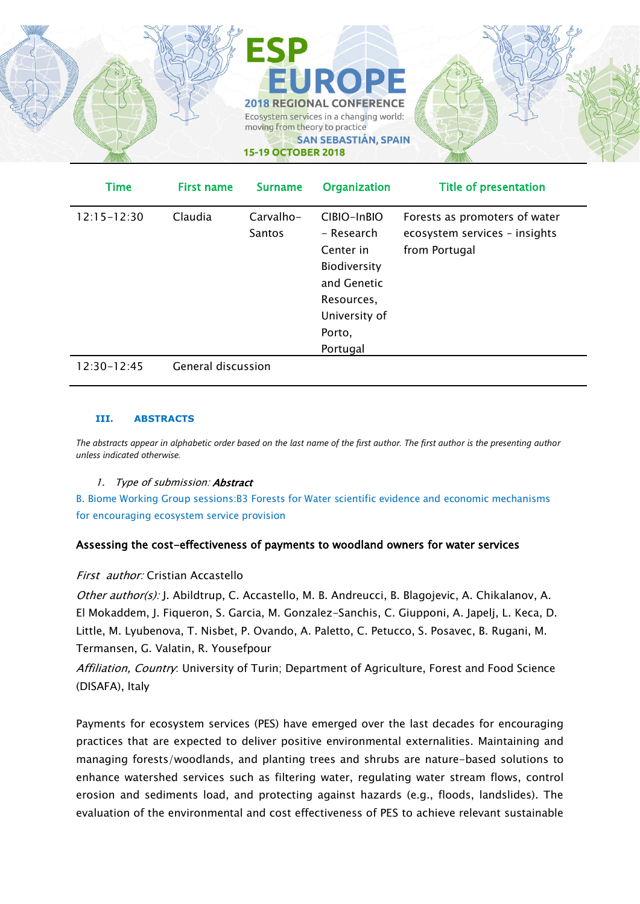

| <b>Time</b>     | <b>First name</b>  | <b>Surname</b>      | <b>Organization</b>                                                                                                        | <b>Title of presentation</b>                                                    |
|-----------------|--------------------|---------------------|----------------------------------------------------------------------------------------------------------------------------|---------------------------------------------------------------------------------|
| $12:15 - 12:30$ | Claudia            | Carvalho-<br>Santos | CIBIO-InBIO<br>- Research<br>Center in<br>Biodiversity<br>and Genetic<br>Resources,<br>University of<br>Porto,<br>Portugal | Forests as promoters of water<br>ecosystem services - insights<br>from Portugal |
| $12:30-12:45$   | General discussion |                     |                                                                                                                            |                                                                                 |

#### **III. ABSTRACTS**

*The abstracts appear in alphabetic order based on the last name of the first author. The first author is the presenting author unless indicated otherwise.*

#### 1. Type of submission: **Abstract**

B. Biome Working Group sessions:B3 Forests for Water scientific evidence and economic mechanisms for encouraging ecosystem service provision

## Assessing the cost-effectiveness of payments to woodland owners for water services

#### First author: Cristian Accastello

Other author(s): J. Abildtrup, C. Accastello, M. B. Andreucci, B. Blagojevic, A. Chikalanov, A. El Mokaddem, J. Fiqueron, S. Garcia, M. Gonzalez-Sanchis, C. Giupponi, A. Japelj, L. Keca, D. Little, M. Lyubenova, T. Nisbet, P. Ovando, A. Paletto, C. Petucco, S. Posavec, B. Rugani, M. Termansen, G. Valatin, R. Yousefpour

Affiliation, Country: University of Turin: Department of Agriculture, Forest and Food Science (DISAFA), Italy

Payments for ecosystem services (PES) have emerged over the last decades for encouraging practices that are expected to deliver positive environmental externalities. Maintaining and managing forests/woodlands, and planting trees and shrubs are nature-based solutions to enhance watershed services such as filtering water, regulating water stream flows, control erosion and sediments load, and protecting against hazards (e.g., floods, landslides). The evaluation of the environmental and cost effectiveness of PES to achieve relevant sustainable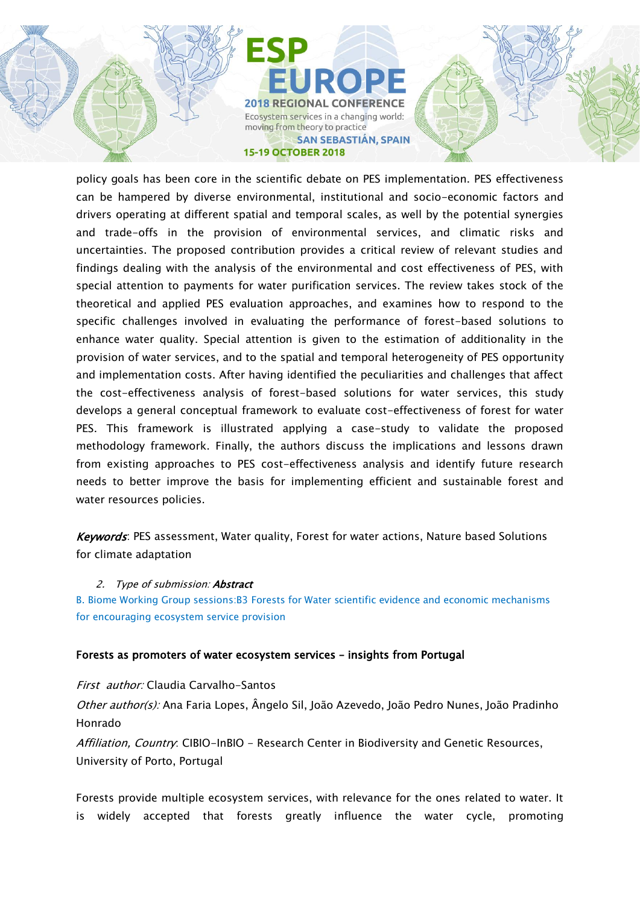

policy goals has been core in the scientific debate on PES implementation. PES effectiveness can be hampered by diverse environmental, institutional and socio-economic factors and drivers operating at different spatial and temporal scales, as well by the potential synergies and trade-offs in the provision of environmental services, and climatic risks and uncertainties. The proposed contribution provides a critical review of relevant studies and findings dealing with the analysis of the environmental and cost effectiveness of PES, with special attention to payments for water purification services. The review takes stock of the theoretical and applied PES evaluation approaches, and examines how to respond to the specific challenges involved in evaluating the performance of forest-based solutions to enhance water quality. Special attention is given to the estimation of additionality in the provision of water services, and to the spatial and temporal heterogeneity of PES opportunity and implementation costs. After having identified the peculiarities and challenges that affect the cost-effectiveness analysis of forest-based solutions for water services, this study develops a general conceptual framework to evaluate cost-effectiveness of forest for water PES. This framework is illustrated applying a case-study to validate the proposed methodology framework. Finally, the authors discuss the implications and lessons drawn from existing approaches to PES cost-effectiveness analysis and identify future research needs to better improve the basis for implementing efficient and sustainable forest and water resources policies.

Keywords: PES assessment, Water quality, Forest for water actions, Nature based Solutions for climate adaptation

#### 2. Type of submission: **Abstract**

B. Biome Working Group sessions:B3 Forests for Water scientific evidence and economic mechanisms for encouraging ecosystem service provision

#### Forests as promoters of water ecosystem services – insights from Portugal

First author: Claudia Carvalho-Santos Other author(s): Ana Faria Lopes, Ângelo Sil, João Azevedo, João Pedro Nunes, João Pradinho Honrado Affiliation, Country: CIBIO-InBIO - Research Center in Biodiversity and Genetic Resources, University of Porto, Portugal

Forests provide multiple ecosystem services, with relevance for the ones related to water. It is widely accepted that forests greatly influence the water cycle, promoting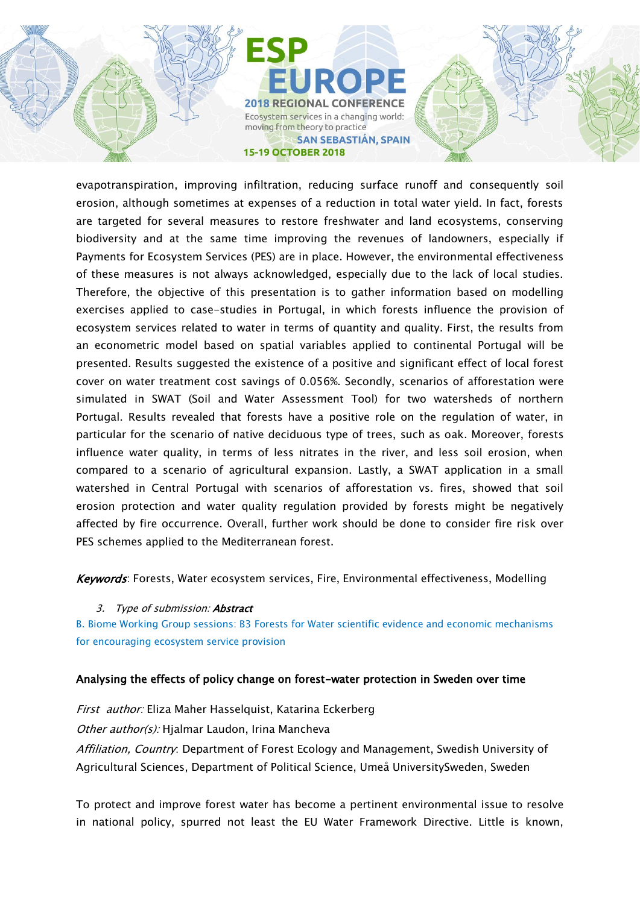

evapotranspiration, improving infiltration, reducing surface runoff and consequently soil erosion, although sometimes at expenses of a reduction in total water yield. In fact, forests are targeted for several measures to restore freshwater and land ecosystems, conserving biodiversity and at the same time improving the revenues of landowners, especially if Payments for Ecosystem Services (PES) are in place. However, the environmental effectiveness of these measures is not always acknowledged, especially due to the lack of local studies. Therefore, the objective of this presentation is to gather information based on modelling exercises applied to case-studies in Portugal, in which forests influence the provision of ecosystem services related to water in terms of quantity and quality. First, the results from an econometric model based on spatial variables applied to continental Portugal will be presented. Results suggested the existence of a positive and significant effect of local forest cover on water treatment cost savings of 0.056%. Secondly, scenarios of afforestation were simulated in SWAT (Soil and Water Assessment Tool) for two watersheds of northern Portugal. Results revealed that forests have a positive role on the regulation of water, in particular for the scenario of native deciduous type of trees, such as oak. Moreover, forests influence water quality, in terms of less nitrates in the river, and less soil erosion, when compared to a scenario of agricultural expansion. Lastly, a SWAT application in a small watershed in Central Portugal with scenarios of afforestation vs. fires, showed that soil erosion protection and water quality regulation provided by forests might be negatively affected by fire occurrence. Overall, further work should be done to consider fire risk over PES schemes applied to the Mediterranean forest.

Keywords: Forests, Water ecosystem services, Fire, Environmental effectiveness, Modelling

#### 3. Type of submission: **Abstract**

B. Biome Working Group sessions: B3 Forests for Water scientific evidence and economic mechanisms for encouraging ecosystem service provision

#### Analysing the effects of policy change on forest-water protection in Sweden over time

First author: Eliza Maher Hasselquist, Katarina Eckerberg Other author(s): Hjalmar Laudon, Irina Mancheva Affiliation, Country: Department of Forest Ecology and Management, Swedish University of Agricultural Sciences, Department of Political Science, Umeå UniversitySweden, Sweden

To protect and improve forest water has become a pertinent environmental issue to resolve in national policy, spurred not least the EU Water Framework Directive. Little is known,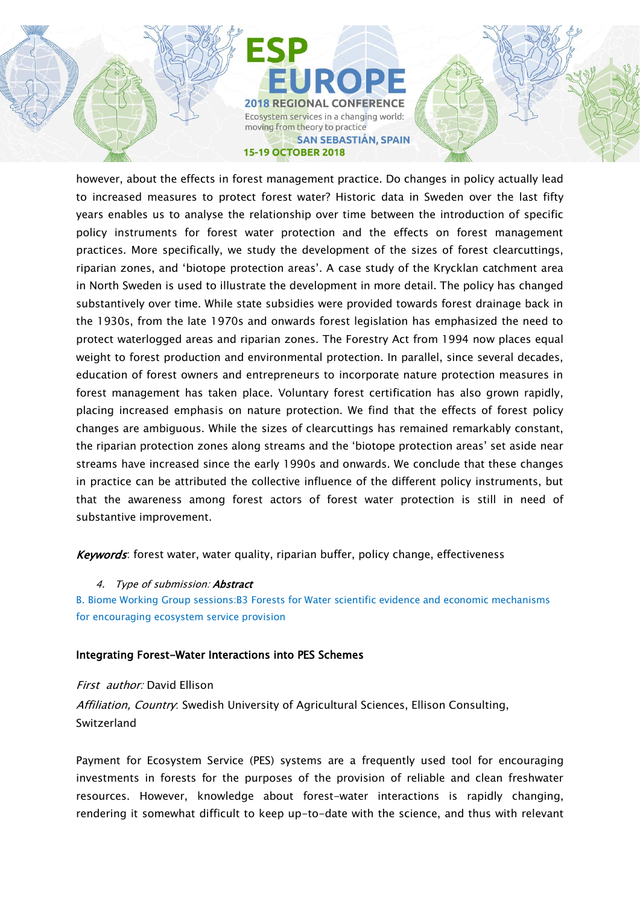

however, about the effects in forest management practice. Do changes in policy actually lead to increased measures to protect forest water? Historic data in Sweden over the last fifty years enables us to analyse the relationship over time between the introduction of specific policy instruments for forest water protection and the effects on forest management practices. More specifically, we study the development of the sizes of forest clearcuttings, riparian zones, and 'biotope protection areas'. A case study of the Krycklan catchment area in North Sweden is used to illustrate the development in more detail. The policy has changed substantively over time. While state subsidies were provided towards forest drainage back in the 1930s, from the late 1970s and onwards forest legislation has emphasized the need to protect waterlogged areas and riparian zones. The Forestry Act from 1994 now places equal weight to forest production and environmental protection. In parallel, since several decades, education of forest owners and entrepreneurs to incorporate nature protection measures in forest management has taken place. Voluntary forest certification has also grown rapidly, placing increased emphasis on nature protection. We find that the effects of forest policy changes are ambiguous. While the sizes of clearcuttings has remained remarkably constant, the riparian protection zones along streams and the 'biotope protection areas' set aside near streams have increased since the early 1990s and onwards. We conclude that these changes in practice can be attributed the collective influence of the different policy instruments, but that the awareness among forest actors of forest water protection is still in need of substantive improvement.

Keywords: forest water, water quality, riparian buffer, policy change, effectiveness

#### 4. Type of submission: **Abstract**

B. Biome Working Group sessions:B3 Forests for Water scientific evidence and economic mechanisms for encouraging ecosystem service provision

#### Integrating Forest-Water Interactions into PES Schemes

First author: David Ellison Affiliation, Country: Swedish University of Agricultural Sciences, Ellison Consulting, Switzerland

Payment for Ecosystem Service (PES) systems are a frequently used tool for encouraging investments in forests for the purposes of the provision of reliable and clean freshwater resources. However, knowledge about forest-water interactions is rapidly changing, rendering it somewhat difficult to keep up-to-date with the science, and thus with relevant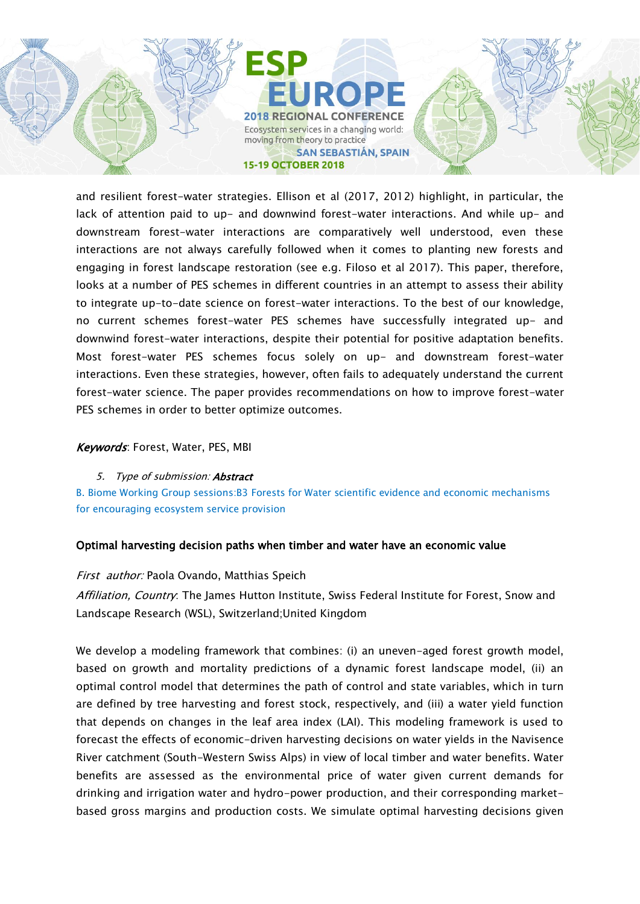

and resilient forest-water strategies. Ellison et al (2017, 2012) highlight, in particular, the lack of attention paid to up- and downwind forest-water interactions. And while up- and downstream forest-water interactions are comparatively well understood, even these interactions are not always carefully followed when it comes to planting new forests and engaging in forest landscape restoration (see e.g. Filoso et al 2017). This paper, therefore, looks at a number of PES schemes in different countries in an attempt to assess their ability to integrate up-to-date science on forest-water interactions. To the best of our knowledge, no current schemes forest-water PES schemes have successfully integrated up- and downwind forest-water interactions, despite their potential for positive adaptation benefits. Most forest-water PES schemes focus solely on up- and downstream forest-water interactions. Even these strategies, however, often fails to adequately understand the current forest-water science. The paper provides recommendations on how to improve forest-water PES schemes in order to better optimize outcomes.

## Keywords: Forest, Water, PES, MBI

#### 5. Type of submission: **Abstract**

B. Biome Working Group sessions:B3 Forests for Water scientific evidence and economic mechanisms for encouraging ecosystem service provision

## Optimal harvesting decision paths when timber and water have an economic value

## First author: Paola Ovando, Matthias Speich

Affiliation, Country: The James Hutton Institute, Swiss Federal Institute for Forest, Snow and Landscape Research (WSL), Switzerland;United Kingdom

We develop a modeling framework that combines: (i) an uneven-aged forest growth model, based on growth and mortality predictions of a dynamic forest landscape model, (ii) an optimal control model that determines the path of control and state variables, which in turn are defined by tree harvesting and forest stock, respectively, and (iii) a water yield function that depends on changes in the leaf area index (LAI). This modeling framework is used to forecast the effects of economic-driven harvesting decisions on water yields in the Navisence River catchment (South-Western Swiss Alps) in view of local timber and water benefits. Water benefits are assessed as the environmental price of water given current demands for drinking and irrigation water and hydro-power production, and their corresponding marketbased gross margins and production costs. We simulate optimal harvesting decisions given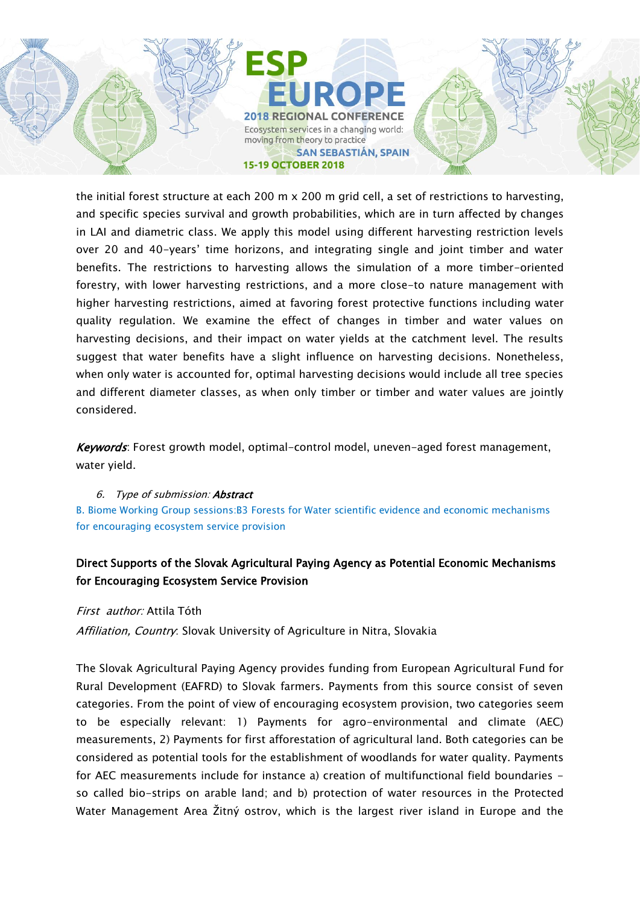

the initial forest structure at each 200 m x 200 m grid cell, a set of restrictions to harvesting, and specific species survival and growth probabilities, which are in turn affected by changes in LAI and diametric class. We apply this model using different harvesting restriction levels over 20 and 40-years' time horizons, and integrating single and joint timber and water benefits. The restrictions to harvesting allows the simulation of a more timber-oriented forestry, with lower harvesting restrictions, and a more close-to nature management with higher harvesting restrictions, aimed at favoring forest protective functions including water quality regulation. We examine the effect of changes in timber and water values on harvesting decisions, and their impact on water yields at the catchment level. The results suggest that water benefits have a slight influence on harvesting decisions. Nonetheless, when only water is accounted for, optimal harvesting decisions would include all tree species and different diameter classes, as when only timber or timber and water values are jointly considered.

Keywords: Forest growth model, optimal-control model, uneven-aged forest management, water yield.

## 6. Type of submission: Abstract

B. Biome Working Group sessions:B3 Forests for Water scientific evidence and economic mechanisms for encouraging ecosystem service provision

## Direct Supports of the Slovak Agricultural Paying Agency as Potential Economic Mechanisms for Encouraging Ecosystem Service Provision

First author: Attila Tóth

Affiliation, Country. Slovak University of Agriculture in Nitra, Slovakia

The Slovak Agricultural Paying Agency provides funding from European Agricultural Fund for Rural Development (EAFRD) to Slovak farmers. Payments from this source consist of seven categories. From the point of view of encouraging ecosystem provision, two categories seem to be especially relevant: 1) Payments for agro-environmental and climate (AEC) measurements, 2) Payments for first afforestation of agricultural land. Both categories can be considered as potential tools for the establishment of woodlands for water quality. Payments for AEC measurements include for instance a) creation of multifunctional field boundaries so called bio-strips on arable land; and b) protection of water resources in the Protected Water Management Area Žitný ostrov, which is the largest river island in Europe and the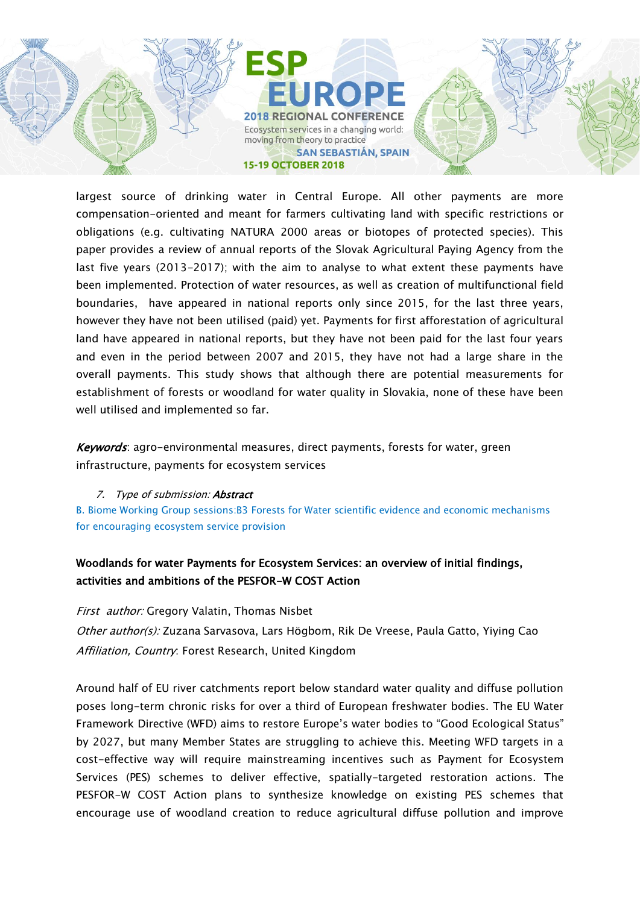

largest source of drinking water in Central Europe. All other payments are more compensation-oriented and meant for farmers cultivating land with specific restrictions or obligations (e.g. cultivating NATURA 2000 areas or biotopes of protected species). This paper provides a review of annual reports of the Slovak Agricultural Paying Agency from the last five years (2013-2017); with the aim to analyse to what extent these payments have been implemented. Protection of water resources, as well as creation of multifunctional field boundaries, have appeared in national reports only since 2015, for the last three years, however they have not been utilised (paid) yet. Payments for first afforestation of agricultural land have appeared in national reports, but they have not been paid for the last four years and even in the period between 2007 and 2015, they have not had a large share in the overall payments. This study shows that although there are potential measurements for establishment of forests or woodland for water quality in Slovakia, none of these have been well utilised and implemented so far.

Keywords: agro-environmental measures, direct payments, forests for water, green infrastructure, payments for ecosystem services

#### 7. Type of submission: **Abstract**

B. Biome Working Group sessions:B3 Forests for Water scientific evidence and economic mechanisms for encouraging ecosystem service provision

## Woodlands for water Payments for Ecosystem Services: an overview of initial findings, activities and ambitions of the PESFOR-W COST Action

First author: Gregory Valatin, Thomas Nisbet Other author(s): Zuzana Sarvasova, Lars Högbom, Rik De Vreese, Paula Gatto, Yiying Cao Affiliation, Country. Forest Research, United Kingdom

Around half of EU river catchments report below standard water quality and diffuse pollution poses long-term chronic risks for over a third of European freshwater bodies. The EU Water Framework Directive (WFD) aims to restore Europe's water bodies to "Good Ecological Status" by 2027, but many Member States are struggling to achieve this. Meeting WFD targets in a cost-effective way will require mainstreaming incentives such as Payment for Ecosystem Services (PES) schemes to deliver effective, spatially-targeted restoration actions. The PESFOR-W COST Action plans to synthesize knowledge on existing PES schemes that encourage use of woodland creation to reduce agricultural diffuse pollution and improve